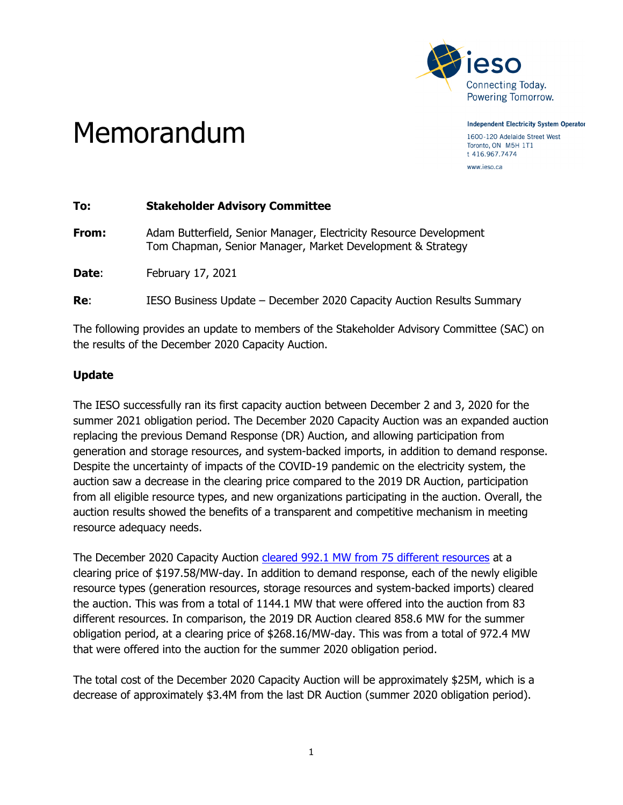

Memorandum

**Independent Electricity System Operator** 

1600-120 Adelaide Street West Toronto, ON M5H 1T1 t 416.967.7474 www.ieso.ca

| To:   | <b>Stakeholder Advisory Committee</b>                                                                                            |
|-------|----------------------------------------------------------------------------------------------------------------------------------|
| From: | Adam Butterfield, Senior Manager, Electricity Resource Development<br>Tom Chapman, Senior Manager, Market Development & Strategy |
| Date: | February 17, 2021                                                                                                                |
| Re:   | IESO Business Update - December 2020 Capacity Auction Results Summary                                                            |
|       |                                                                                                                                  |

The following provides an update to members of the Stakeholder Advisory Committee (SAC) on the results of the December 2020 Capacity Auction.

## **Update**

The IESO successfully ran its first capacity auction between December 2 and 3, 2020 for the summer 2021 obligation period. The December 2020 Capacity Auction was an expanded auction replacing the previous Demand Response (DR) Auction, and allowing participation from generation and storage resources, and system-backed imports, in addition to demand response. Despite the uncertainty of impacts of the COVID-19 pandemic on the electricity system, the auction saw a decrease in the clearing price compared to the 2019 DR Auction, participation from all eligible resource types, and new organizations participating in the auction. Overall, the auction results showed the benefits of a transparent and competitive mechanism in meeting resource adequacy needs.

The December 2020 Capacity Auction [cleared 992.1 MW from 75 different resources](https://ieso.ca/Sector-Participants/IESO-News/2020/12/Capacity-Auction-Results-Demonstrate-the-Value-of-Competition) at a clearing price of \$197.58/MW-day. In addition to demand response, each of the newly eligible resource types (generation resources, storage resources and system-backed imports) cleared the auction. This was from a total of 1144.1 MW that were offered into the auction from 83 different resources. In comparison, the 2019 DR Auction cleared 858.6 MW for the summer obligation period, at a clearing price of \$268.16/MW-day. This was from a total of 972.4 MW that were offered into the auction for the summer 2020 obligation period.

The total cost of the December 2020 Capacity Auction will be approximately \$25M, which is a decrease of approximately \$3.4M from the last DR Auction (summer 2020 obligation period).